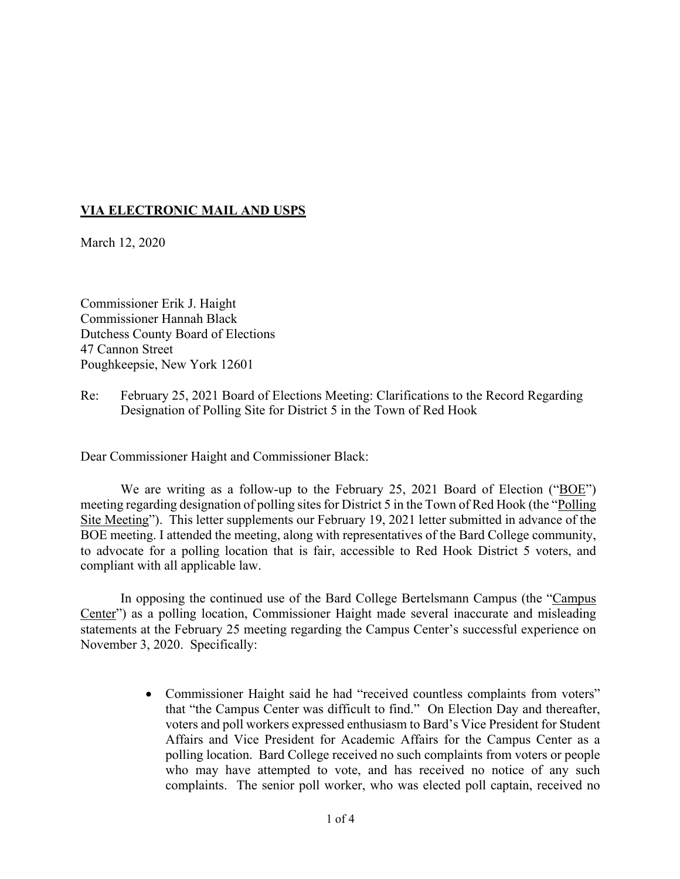## **VIA ELECTRONIC MAIL AND USPS**

March 12, 2020

Commissioner Erik J. Haight Commissioner Hannah Black Dutchess County Board of Elections 47 Cannon Street Poughkeepsie, New York 12601

Re: February 25, 2021 Board of Elections Meeting: Clarifications to the Record Regarding Designation of Polling Site for District 5 in the Town of Red Hook

Dear Commissioner Haight and Commissioner Black:

We are writing as a follow-up to the February 25, 2021 Board of Election ("BOE") meeting regarding designation of polling sites for District 5 in the Town of Red Hook (the "Polling Site Meeting"). This letter supplements our February 19, 2021 letter submitted in advance of the BOE meeting. I attended the meeting, along with representatives of the Bard College community, to advocate for a polling location that is fair, accessible to Red Hook District 5 voters, and compliant with all applicable law.

In opposing the continued use of the Bard College Bertelsmann Campus (the "Campus Center") as a polling location, Commissioner Haight made several inaccurate and misleading statements at the February 25 meeting regarding the Campus Center's successful experience on November 3, 2020. Specifically:

> • Commissioner Haight said he had "received countless complaints from voters" that "the Campus Center was difficult to find." On Election Day and thereafter, voters and poll workers expressed enthusiasm to Bard's Vice President for Student Affairs and Vice President for Academic Affairs for the Campus Center as a polling location. Bard College received no such complaints from voters or people who may have attempted to vote, and has received no notice of any such complaints. The senior poll worker, who was elected poll captain, received no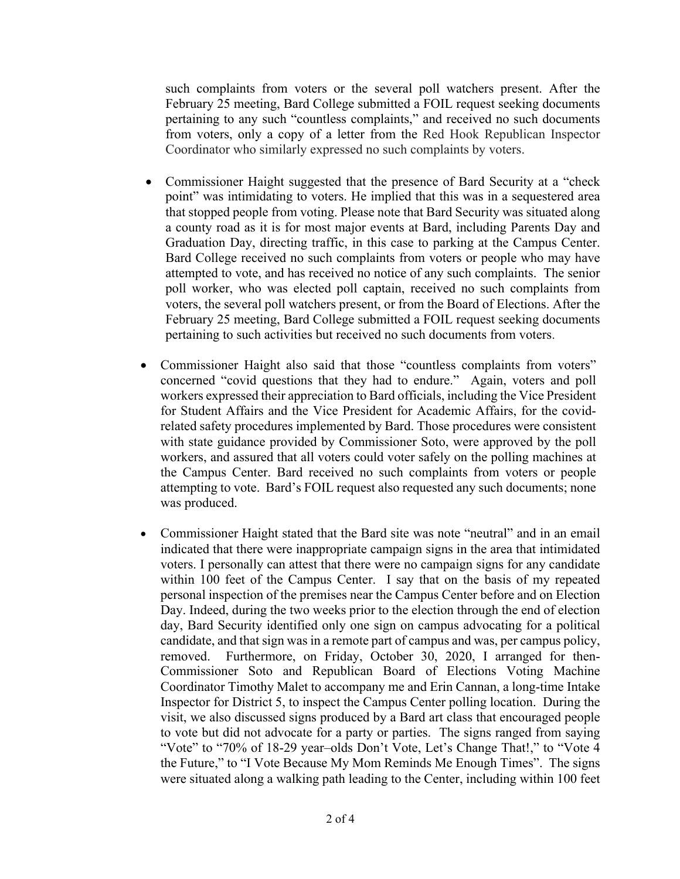such complaints from voters or the several poll watchers present. After the February 25 meeting, Bard College submitted a FOIL request seeking documents pertaining to any such "countless complaints," and received no such documents from voters, only a copy of a letter from the Red Hook Republican Inspector Coordinator who similarly expressed no such complaints by voters.

- Commissioner Haight suggested that the presence of Bard Security at a "check point" was intimidating to voters. He implied that this was in a sequestered area that stopped people from voting. Please note that Bard Security was situated along a county road as it is for most major events at Bard, including Parents Day and Graduation Day, directing traffic, in this case to parking at the Campus Center. Bard College received no such complaints from voters or people who may have attempted to vote, and has received no notice of any such complaints. The senior poll worker, who was elected poll captain, received no such complaints from voters, the several poll watchers present, or from the Board of Elections. After the February 25 meeting, Bard College submitted a FOIL request seeking documents pertaining to such activities but received no such documents from voters.
- Commissioner Haight also said that those "countless complaints from voters" concerned "covid questions that they had to endure." Again, voters and poll workers expressed their appreciation to Bard officials, including the Vice President for Student Affairs and the Vice President for Academic Affairs, for the covidrelated safety procedures implemented by Bard. Those procedures were consistent with state guidance provided by Commissioner Soto, were approved by the poll workers, and assured that all voters could voter safely on the polling machines at the Campus Center. Bard received no such complaints from voters or people attempting to vote. Bard's FOIL request also requested any such documents; none was produced.
- Commissioner Haight stated that the Bard site was note "neutral" and in an email indicated that there were inappropriate campaign signs in the area that intimidated voters. I personally can attest that there were no campaign signs for any candidate within 100 feet of the Campus Center. I say that on the basis of my repeated personal inspection of the premises near the Campus Center before and on Election Day. Indeed, during the two weeks prior to the election through the end of election day, Bard Security identified only one sign on campus advocating for a political candidate, and that sign was in a remote part of campus and was, per campus policy, removed. Furthermore, on Friday, October 30, 2020, I arranged for then-Commissioner Soto and Republican Board of Elections Voting Machine Coordinator Timothy Malet to accompany me and Erin Cannan, a long-time Intake Inspector for District 5, to inspect the Campus Center polling location. During the visit, we also discussed signs produced by a Bard art class that encouraged people to vote but did not advocate for a party or parties. The signs ranged from saying "Vote" to "70% of 18-29 year-olds Don't Vote, Let's Change That!," to "Vote 4 the Future," to "I Vote Because My Mom Reminds Me Enough Times". The signs were situated along a walking path leading to the Center, including within 100 feet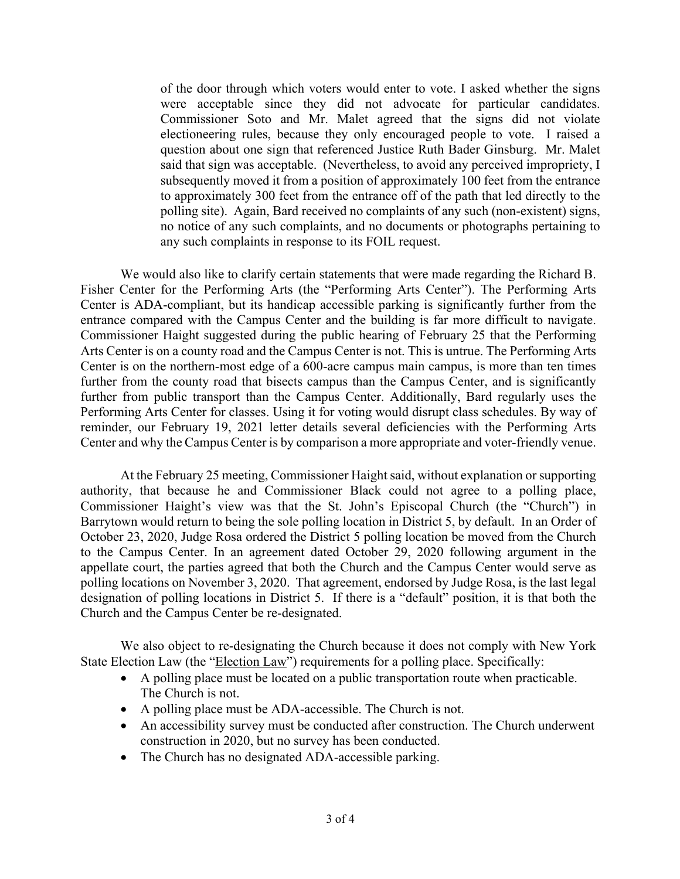of the door through which voters would enter to vote. I asked whether the signs were acceptable since they did not advocate for particular candidates. Commissioner Soto and Mr. Malet agreed that the signs did not violate electioneering rules, because they only encouraged people to vote. I raised a question about one sign that referenced Justice Ruth Bader Ginsburg. Mr. Malet said that sign was acceptable. (Nevertheless, to avoid any perceived impropriety, I subsequently moved it from a position of approximately 100 feet from the entrance to approximately 300 feet from the entrance off of the path that led directly to the polling site). Again, Bard received no complaints of any such (non-existent) signs, no notice of any such complaints, and no documents or photographs pertaining to any such complaints in response to its FOIL request.

We would also like to clarify certain statements that were made regarding the Richard B. Fisher Center for the Performing Arts (the "Performing Arts Center"). The Performing Arts Center is ADA-compliant, but its handicap accessible parking is significantly further from the entrance compared with the Campus Center and the building is far more difficult to navigate. Commissioner Haight suggested during the public hearing of February 25 that the Performing Arts Center is on a county road and the Campus Center is not. This is untrue. The Performing Arts Center is on the northern-most edge of a 600-acre campus main campus, is more than ten times further from the county road that bisects campus than the Campus Center, and is significantly further from public transport than the Campus Center. Additionally, Bard regularly uses the Performing Arts Center for classes. Using it for voting would disrupt class schedules. By way of reminder, our February 19, 2021 letter details several deficiencies with the Performing Arts Center and why the Campus Center is by comparison a more appropriate and voter-friendly venue.

At the February 25 meeting, Commissioner Haight said, without explanation or supporting authority, that because he and Commissioner Black could not agree to a polling place, Commissioner Haight's view was that the St. John's Episcopal Church (the "Church") in Barrytown would return to being the sole polling location in District 5, by default. In an Order of October 23, 2020, Judge Rosa ordered the District 5 polling location be moved from the Church to the Campus Center. In an agreement dated October 29, 2020 following argument in the appellate court, the parties agreed that both the Church and the Campus Center would serve as polling locations on November 3, 2020. That agreement, endorsed by Judge Rosa, is the last legal designation of polling locations in District 5. If there is a "default" position, it is that both the Church and the Campus Center be re-designated.

We also object to re-designating the Church because it does not comply with New York State Election Law (the "Election Law") requirements for a polling place. Specifically:

- A polling place must be located on a public transportation route when practicable. The Church is not.
- A polling place must be ADA-accessible. The Church is not.
- An accessibility survey must be conducted after construction. The Church underwent construction in 2020, but no survey has been conducted.
- The Church has no designated ADA-accessible parking.